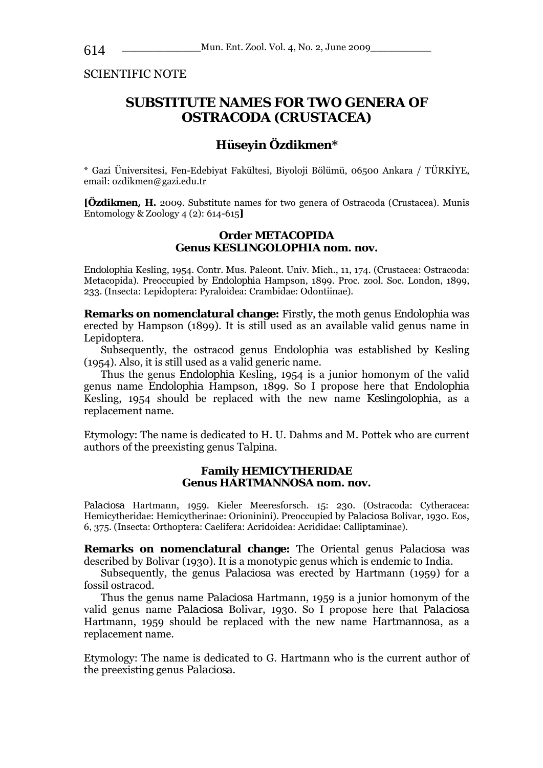SCIENTIFIC NOTE

# **SUBSTITUTE NAMES FOR TWO GENERA OF OSTRACODA (CRUSTACEA)**

## **Hüseyin Özdikmen\***

\* Gazi Üniversitesi, Fen-Edebiyat Fakültesi, Biyoloji Bölümü, 06500 Ankara / TÜRKİYE, email: ozdikmen@gazi.edu.tr

**[Özdikmen, H.** 2009. Substitute names for two genera of Ostracoda (Crustacea). Munis Entomology & Zoology 4 (2): 614-615**]** 

#### **Order METACOPIDA Genus** *KESLINGOLOPHIA* **nom. nov.**

*Endolophia* Kesling, 1954. Contr. Mus. Paleont. Univ. Mich., 11, 174. (Crustacea: Ostracoda: Metacopida). Preoccupied by *Endolophia* Hampson, 1899. Proc. zool. Soc. London, 1899, 233. (Insecta: Lepidoptera: Pyraloidea: Crambidae: Odontiinae).

**Remarks on nomenclatural change:** Firstly, the moth genus *Endolophia* was erected by Hampson (1899). It is still used as an available valid genus name in Lepidoptera.

Subsequently, the ostracod genus *Endolophia* was established by Kesling (1954). Also, it is still used as a valid generic name.

Thus the genus *Endolophia* Kesling, 1954 is a junior homonym of the valid genus name *Endolophia* Hampson, 1899. So I propose here that *Endolophia*  Kesling, 1954 should be replaced with the new name *Keslingolophia*, as a replacement name.

Etymology: The name is dedicated to H. U. Dahms and M. Pottek who are current authors of the preexisting genus *Talpina*.

#### **Family HEMICYTHERIDAE Genus** *HARTMANNOSA* **nom. nov.**

*Palaciosa* Hartmann, 1959. Kieler Meeresforsch. 15: 230. (Ostracoda: Cytheracea: Hemicytheridae: Hemicytherinae: Orioninini). Preoccupied by *Palaciosa* Bolivar, 1930. Eos, 6, 375. (Insecta: Orthoptera: Caelifera: Acridoidea: Acrididae: Calliptaminae).

**Remarks on nomenclatural change:** The Oriental genus *Palaciosa* was described by Bolivar (1930). It is a monotypic genus which is endemic to India.

Subsequently, the genus *Palaciosa* was erected by Hartmann (1959) for a fossil ostracod.

Thus the genus name *Palaciosa* Hartmann, 1959 is a junior homonym of the valid genus name *Palaciosa* Bolivar, 1930. So I propose here that *Palaciosa*  Hartmann, 1959 should be replaced with the new name *Hartmannosa*, as a replacement name.

Etymology: The name is dedicated to G. Hartmann who is the current author of the preexisting genus *Palaciosa*.